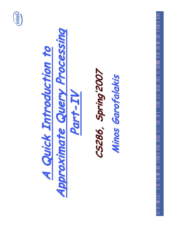

# Approximate Query Processing A Quick Introduction to Part-IV

## CS286, Spring'2007 Minos Garofalakis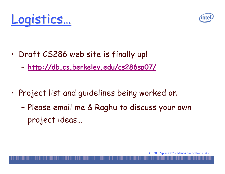



- · Draft CS286 web site is finally up!
	- http://db.cs.berkeley.edu/cs286sp07/
- Project list and guidelines being worked on
	- Please email me & Raghu to discuss your own project ideas...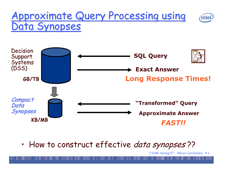#### Approximate Query Processing using intel Data Synopses



• How to construct effective *data synopses* ??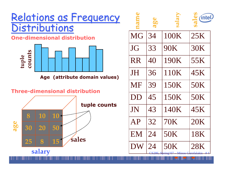#### Relations as Frequency **Distributions One-dimensional distribution**



Age (attribute domain values)

#### **Three-dimensional distribution**



|           | age |            | (intel) |
|-----------|-----|------------|---------|
| <b>MG</b> | 34  | 100K       | 25K     |
| JG        | 33  | 90K        | 30K     |
| <b>RR</b> | 40  | 190K       | 55K     |
| JH        | 36  | 110K       | 45K     |
| <b>MF</b> | 39  | 150K       | 50K     |
| DD        | 45  | 150K       | 50K     |
| JN        | 43  | 140K       | 45K     |
| AP        | 32  | <b>70K</b> | 20K     |
| EM        | 24  | 50K        | 18K     |
| DW        | 24  | 50K        | 28K     |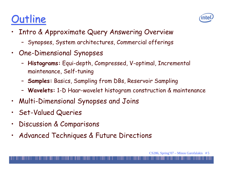## **Outline**



- $\bullet$ • Intro & Approximate Query Answering Overview
	- Synopses, System architectures, Commercial offerings
- $\bullet$ · One-Dimensional Synopses
	- Histograms: Equi-depth, Compressed, V-optimal, Incremental maintenance, Self-tuning
	- $\overline{\phantom{a}}$ - Samples: Basics, Sampling from DBs, Reservoir Sampling
	- Wavelets: 1-D Haar-wavelet histogram construction & maintenance
- $\bullet$ • Multi-Dimensional Synopses and Joins
- $\bullet$ **Set-Valued Queries**
- $\bullet$ · Discussion & Comparisons
- $\bullet$ • Advanced Techniques & Future Directions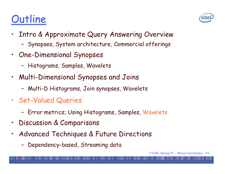## **Outline**



- $\bullet$ • Intro & Approximate Query Answering Overview
	- Synopses, System architecture, Commercial offerings
- · One-Dimensional Synopses
	- Histograms, Samples, Wavelets
- Multi-Dimensional Synopses and Joins
	- Multi-D Histograms, Join synopses, Wavelets
- · Set-Valued Queries
	- Error metrics; Using Histograms, Samples, Wavelets
- $\bullet$ · Discussion & Comparisons
- $\bullet$ • Advanced Techniques & Future Directions
	- Dependency-based, Streaming data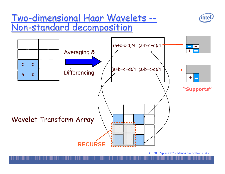#### Two 3-dimensional Haar Wavelets --<u>Non-standard decomposition</u>



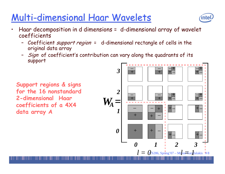## Multi-dimensional Haar Wavelets



- Haar decomposition in d dimensions = d-dimensional array of wavelet  $\bullet$ coefficients
	- Coefficient *support region* = d-dimensional rectangle of cells in the original data array
	- Sign of coefficient's contribution can vary along the quadrants of its support

Support regions & signs for the 16 nonstandard 2-dimensional Haar coefficients of a 4X4 data array A

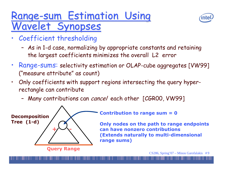### Range-sum Estimation Using **Vavelet Synopses**



- Coefficient thresholding
	- As in 1-d case, normalizing by appropriate constants and retaining the largest coefficients minimizes the overall L2 error
- Range-sums: selectivity estimation or OLAP-cube aggregates [VW99] ("measure attribute" as count)
- Only coefficients with support regions intersecting the query hyper- $\bullet$ rectangle can contribute
	- Many contributions can *cancel* each other [CGROO, VW99]



**Contribution to range sum = 0** 

Only nodes on the path to range endpoints can have nonzero contributions (Extends naturally to multi-dimensional range sums)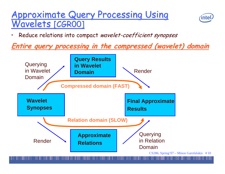#### **Approximate Query Processing Using** Wavelets [CGROO]



Reduce relations into compact wavelet-coefficient synopses

#### **Entire query processing in the compressed (wavelet) domain**

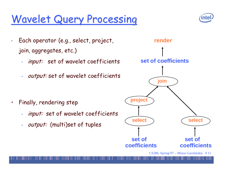## **Wavelet Query Processing**



- Each operator (e.g., select, project, join, aggregates, etc.)
	- input: set of wavelet coefficients
	- output: set of wavelet coefficients

Finally, rendering step  $\bullet$ 

 $\bullet$ 

- input: set of wavelet coefficients
- output: (multi)set of tuples

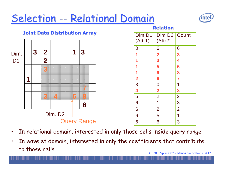

- $\bullet$  $\cdot$   $\;$  In relational domain, interested in only those cells inside query range
- CS286, Spring'07 Minos Garofalakis # 12  $\bullet$  $\cdot$  ) In wavelet domain, interested in only the coefficients that contribute to those cells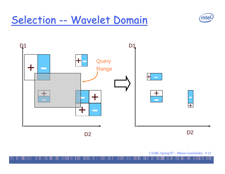## Selection -- Wavelet Domain



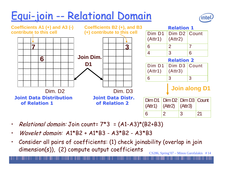## <u> Equi-join -- Relational Domain</u>





- $\bullet$ • *Relational domain:* Join count= 7\*3 = (A1-A3)\*(B2+B3)
- $\bullet$ • Wavelet domain: A1\*B2 + A1\*B3 - A3\*B2 - A3\*B3
- CS286, Spring'07 Minos Garofalakis # 14  $\bullet$ • Consider all pairs of coefficients: (1) check joinability (overlap in join dimension(s)), (2) compute output coefficients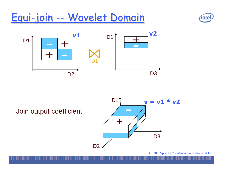## Equi-join -- Wavelet Domain





Join output coefficient:

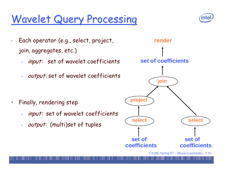## **Wavelet Query Processing**



- Each operator (e.g., select, project, join, aggregates, etc.)
	- input: set of wavelet coefficients
	- output: set of wavelet coefficients

Finally, rendering step  $\bullet$ 

 $\bullet$ 

- input: set of wavelet coefficients
- output: (multi)set of tuples

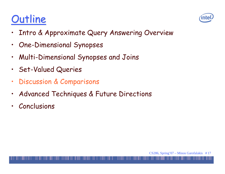## Outline



- Intro & Approximate Query Answering Overview  $\bullet$
- **One-Dimensional Synopses**  $\bullet$
- Multi-Dimensional Synopses and Joins  $\bullet$
- **Set-Valued Queries**  $\bullet$
- **Discussion & Comparisons**  $\bullet$
- Advanced Techniques & Future Directions  $\bullet$
- Conclusions  $\bullet$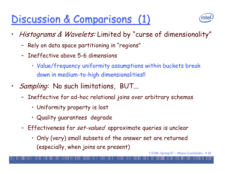## Discussion & Comparisons (1)



- Histograms & Wavelets: Limited by "curse of dimensionality"  $\bullet$ 
	- Rely on data space partitioning in "regions"
	- Ineffective above 5-6 dimensions
		- · Value/frequency uniformity assumptions within buckets break down in medium-to-high dimensionalities!!
- *Sampling:* No such limitations, BUT...
	- Ineffective for ad-hoc relational joins over arbitrary schemas
		- Uniformity property is lost
		- · Quality guarantees degrade
	- Effectiveness for *set-valued* approximate queries is unclear
		- . Only (very) small subsets of the answer set are returned (especially, when joins are present)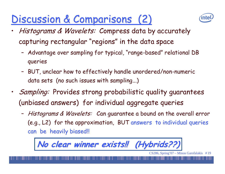## Discussion & Comparisons (2)



- *Histograms & Wavelets: Compress data by accurately* capturing rectangular "regions" in the data space
	- Advantage over sampling for typical, "range-based" relational DB queries
	- BUT, unclear how to effectively handle unordered/non-numeric data sets (no such issues with sampling...)
- *Sampling:* Provides strong probabilistic quality quarantees (unbiased answers) for individual aggregate queries
	- Histograms & Wavelets: Can guarantee a bound on the overall error (e.g., L2) for the approximation, BUT answers to individual queries can be heavily biased!!

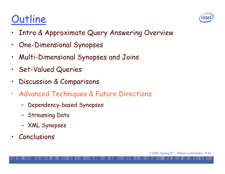## Outline



- Intro & Approximate Query Answering Overview  $\bullet$
- **One-Dimensional Synopses**  $\bullet$
- Multi-Dimensional Synopses and Joins  $\bullet$
- **Set-Valued Queries**  $\bullet$
- Discussion & Comparisons  $\bullet$
- Advanced Techniques & Future Directions  $\bullet$ 
	- Dependency-based Synopses
	- Streaming Data
	- XML Synopses
- Conclusions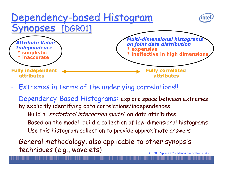

- Extremes in terms of the underlying correlations!!  $\bullet$
- Dependency-Based Histograms: explore space between extremes  $\bullet$ by explicitly identifying data correlations/independences
	- Build a *statistical interaction model* on data attributes
	- Based on the model, build a collection of low-dimensional histograms
	- Use this histogram collection to provide approximate answers
- General methodology, also applicable to other synopsis  $\bullet$ techniques (e.g., wavelets)  $CS286$ , Spring'07 – Minos Garofalakis #21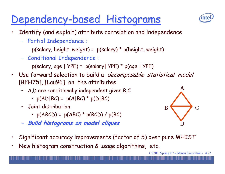## Dependency-based Histograms

- 
- Identify (and exploit) attribute correlation and independence  $\bullet$ 
	- Partial Independence:

```
p(salary, height, weight) = p(salary) * p(height, weight)
```
- Conditional Independence:

 $p(salary, age | YPE) = p(salary | YPE) * p(age | YPE)$ 

- Use forward selection to build a *decomposable statistical model*  $\bullet$ [BFH75], [Lau96] on the attributes
	- A, D are conditionally independent given B, C
		- $\cdot$  p(AD|BC) = p(A|BC) \* p(D|BC)
	- Joint distribution
		- $p(ABCD) = p(ABC) * p(BCD) / p(BC)$
	- Build histograms on model cliques



- Significant accuracy improvements (factor of 5) over pure MHIST
- New histogram construction & usage algorithms, etc.  $\bullet$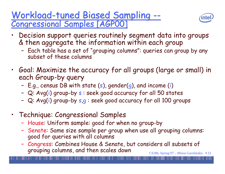#### <u> Workload-tuned Biased Sampling --</u> **Congressional Samples [AGP00]**



- Decision support queries routinely segment data into groups & then aggregate the information within each group
	- Each table has a set of "grouping columns": queries can group by any subset of these columns
- Goal: Maximize the accuracy for all groups (large or small) in each Group-by query
	- E.g., census DB with state (s), gender(g), and income (i)
	- Q: Avg(i) group-by s : seek good accuracy for all 50 states
	- Q: Avg(i) group-by s,g : seek good accuracy for all 100 groups
- Technique: Congressional Samples
	- House: Uniform sample: good for when no group-by
	- Senate: Same size sample per group when use all grouping columns: good for queries with all columns
	- Congress: Combines House & Senate, but considers all subsets of grouping columns, and then scales down  $CS286$ , Spring'07 – Minos Garofalakis #23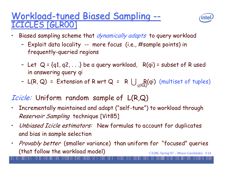#### **Workload-tuned Biased Sampling --CICLES [GLROO]**



- Biased sampling scheme that *dynamically adapts* to query workload
	- Exploit data locality -- more focus (i.e., #sample points) in frequently-queried regions
	- Let  $Q = \{q1, q2, ...\}$  be a query workload,  $R(qi)$  = subset of R used in answering query qi
	- L(R, Q) = Extension of R wrt Q = R  $\bigcup_{ai \in O}(q_i)$  (multiset of tuples)

#### *Icicle:* Uniform random sample of L(R,Q)

- Incrementally maintained and adapt ("self-tune") to workload through  $\bullet$ Reservoir Sampling technique [Vit85]
- *Unbiased Icicle estimators:* New formulas to account for duplicates  $\bullet$ and bias in sample selection
- *Provably better* (smaller variance) than uniform for "focused" queries  $\bullet$ (that follow the workload model)  $CS286$ , Spring'07 – Minos Garofalakis #24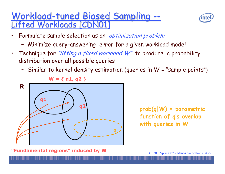#### Workload-tuned Biased Sampling --Lifted Workloads [CDN01]



- Formulate sample selection as an optimization problem
	- Minimize query-answering error for a given workload model
- Technique for "lifting a fixed workload W" to produce a probability  $\bullet$ distribution over all possible queries
	- Similar to kernel density estimation (queries in W = "sample points")



 $prob(q|W) = parameteric$ function of q's overlap with queries in W

"Fundamental regions" induced by W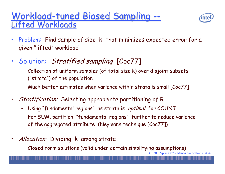#### **Workload-tuned Biased Sampling --**Lifted Workloads



- Problem: Find sample of size k that minimizes expected error for a  $\bullet$ given "lifted" workload
- Solution: Stratified sampling [Coc77]  $\bullet$ 
	- Collection of uniform samples (of total size k) over disjoint subsets ("strata") of the population
	- Much better estimates when variance within strata is small [Coc77]
- *Stratification:* Selecting appropriate partitioning of R  $\bullet$ 
	- Using "fundamental regions" as strata is optimal for COUNT
	- For SUM, partition "fundamental regions" further to reduce variance of the aggregated attribute (Neymann technique [Coc77])
- Allocation: Dividing k among strata  $\bullet$ 
	- Closed form solutions (valid under certain simplifying assumptions)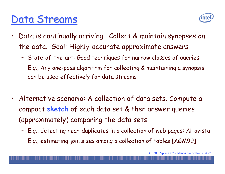## Data Streams



- $\bullet$ • Data is continually arriving. Collect & maintain synopses on the data. Goal: Highly-accurate approximate answers
	- State-of-the-art: Good techniques for narrow classes of queries
	- $\overline{\phantom{a}}$ - E.g., Any one-pass algorithm for collecting & maintaining a synopsis can be used effectively for data streams
- $\bullet$ • Alternative scenario: A collection of data sets. Compute a compact **sketch** of each data set & then answer queries (approximately) comparing the data sets
	- --- E.g., detecting near-duplicates in a collection of web pages: Altavista
	- --- E.g., estimating join sizes among a collection of tables [AGM99]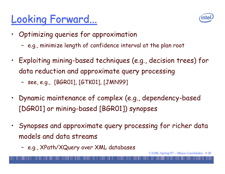## Looking Forward...



- Optimizing queries for approximation  $\bullet$ 
	- e.g., minimize length of confidence interval at the plan root
- Exploiting mining-based techniques (e.g., decision trees) for data reduction and approximate query processing
	- see, e.g., [BGR01], [GTK01], [JMN99]
- Dynamic maintenance of complex (e.g., dependency-based  $\bullet$ [DGR01] or mining-based [BGR01]) synopses
- Synopses and approximate query processing for richer data models and data streams
	- e.g., XPath/XQuery over XML databases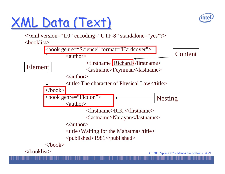## XML Data (Text)



<?xml version="1.0" encoding="UTF-8" standalone="yes"?>

<booklist>

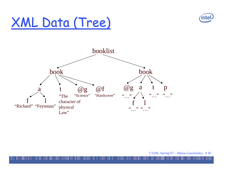

## XML Data (Tree)

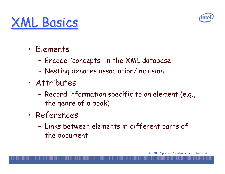

## **XML Basics**

- · Elements
	- Encode "concepts" in the XML database
	- Nesting denotes association/inclusion
- · Attributes
	- Record information specific to an element (e.g., the genre of a book)
- · References
	- Links between elements in different parts of the document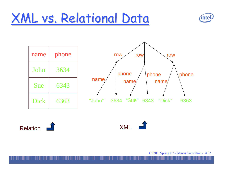## XML vs. Relational Data









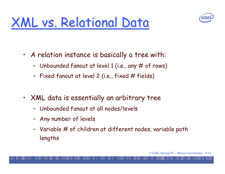



- A relation instance is basically a tree with:
	- Unbounded fanout at level 1 (i.e., any # of rows)
	- Fixed fanout at level 2 (i.e., fixed # fields)
- XML data is essentially an arbitrary tree  $\bullet$  .
	- Unbounded fanout at all nodes/levels
	- Any number of levels
	- Variable # of children at different nodes, variable path lengths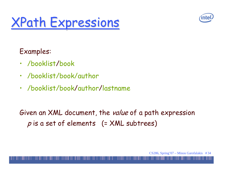

Examples:

- · /booklist/book
- · /booklist/book/author
- · /booklist/book/author/lastname

Given an XML document, the value of a path expression  $p$  is a set of elements (= XML subtrees)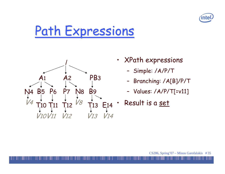



- **XPath expressions**  $\bullet$ 
	- Simple: /A/P/T
	- Branching: /A[B]/P/T
	- Values: /A/P/T[=v11]
- Result is a set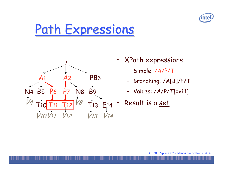



- **XPath expressions**  $\bullet$ 
	- Simple: /A/P/T
	- Branching: /A[B]/P/T
	- Values: /A/P/T[=v11]
- Result is a set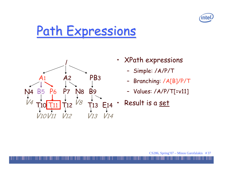



- XPath expressions  $\bullet$ 
	- Simple: /A/P/T
	- Branching: /A[B]/P/T
	- Values: /A/P/T[=v11]
- Result is a set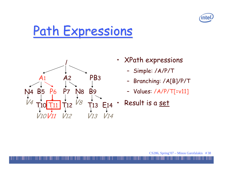



- XPath expressions  $\bullet$ 
	- Simple: /A/P/T
	- Branching: /A[B]/P/T
	- Values: /A/P/T[=v11]
- Result is a set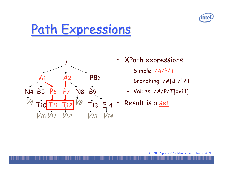



- **XPath expressions**  $\bullet$ 
	- Simple: /A/P/T
	- Branching: /A[B]/P/T
	- Values: /A/P/T[=v11]
- Result is a set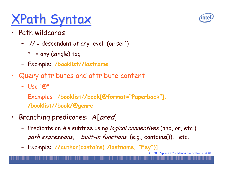## **XPath Syntax**

- · Path wildcards
	- -- // = descendant at any level (or self)
	- Ξ  $^\star$  = any (single) tag
	- -- Example: /booklist//lastname
- $\bullet$ • Query attributes and attribute content
	- Use "@"
	- $\sim$ - Examples: /booklist//book[@format="Paperback"], /booklist//book/@genre
- $\bullet$ Branching predicates: A[pred]
	- Predicate on A's subtree using *logical connectives* (and, or, etc.), path expressions, built-in functions (e.g., contains()), etc.
	- $\overline{\phantom{a}}$ - Example: //author[contains(./lastname, "Fey")]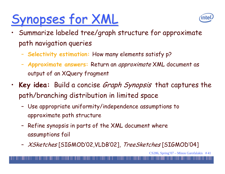## Synopses for XML



- Summarize labeled tree/graph structure for approximate path navigation queries
	- Selectivity estimation: How many elements satisfy p?
	- Approximate answers: Return an *approximate* XML document as output of an XQuery fragment
- Key idea: Build a concise *Graph Synopsis* that captures the  $\bullet$ path/branching distribution in limited space
	- Use appropriate uniformity/independence assumptions to approximate path structure
	- Refine synopsis in parts of the XML document where assumptions fail
	- XSketches [SIGMOD'02, VLDB'02], TreeSketches [SIGMOD'04]